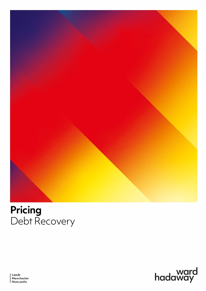

# **Pricing** Debt Recovery



Leeds Manchester Newcastle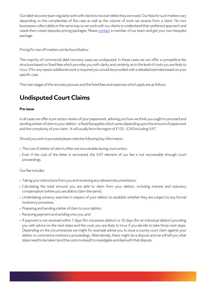Our debt recovery team regularly work with clients to recover debts they are owed. Our fees for such matters vary depending on the complexities of the case as well as the volume of work we receive from a client. No two businesses collect debts in the same way so we work with our clients to understand their preferred approach and needs then create bespoke pricing packages. Pleas[e contact](https://www.wardhadaway.com/lawyer-search-results/?role=18&kc=1293,1289) a member of our team and get your own bespoke package.

Pricing for one off matters can be found below.

The majority of commercial debt recovery cases are undisputed. In these cases we can offer a competitive fee structure based on fixed fees which provides you with clarity and certainty as to the level of costs you are likely to incur. If for any reason additional work is required you would be provided with a detailed estimate based on your specific case.

The main stages of the recovery process and the fixed fees and expenses which apply are as follows:

# **Undisputed Court Claims**

#### **Pre-issue**

In all cases we offer a pre-action review of your paperwork, advising you how we think you ought to proceed and sending a letter of claim to your debtor –a fixed fee applies which varies depending upon the amount of paperwork and the complexity of your claim. It will usually be in the region of £120 - £240 including VAT.

Should you wish to proceed please note the following key information:

- **•** The cost of a letter of claim is often not recoverable during court action;
- **•** Even if the cost of the letter is recovered, the VAT element of our fee is not recoverable through court proceedings.

Our fee includes:

- **•** Taking your instructions from you and reviewing any relevant documentation;
- **•** Calculating the total amount you are able to claim from your debtor, including interest and statutory compensation (where you are able to claim the same);
- **•** Undertaking solvency searches in respect of your debtor to establish whether they are subject to any formal insolvency processes;
- **•** Preparing and sending a letter of claim to your debtor;
- **•** Receiving payment and sending onto you; and
- **•** If payment is not received within 7 days (for a business debtor) or 30 days (for an individual debtor) providing you with advice on the next steps and the costs you are likely to incur if you decide to take those next steps. Depending on the circumstances we might for example advise you to issue a county court claim against your debtor or commence insolvency proceedings. Alternatively, there might be a dispute and we will tell you what steps need to be taken (and the costs involved) to investigate and deal with that dispute.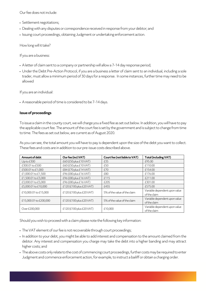Our fee does not include:

- **•** Settlement negotiations;
- **•** Dealing with any disputes or correspondence received in response from your debtor; and
- **•** Issuing court proceedings, obtaining Judgment or undertaking enforcement action.

How long will it take?

If you are a business:

- **•** A letter of claim sent to a company or partnership will allow a 7-14 day response period;
- **•** Under the Debt Pre-Action Protocol, if you are a business a letter of claim sent to an individual, including a sole trader, must allow a minimum period of 30 days for a response. In some instances, further time may need to be allowed

If you are an individual:

**•** A reasonable period of time is considered to be 7-14 days.

#### **Issue of proceedings**

To issue a claim in the county court, we will charge you a fixed fee as set out below. In addition, you will have to pay the applicable court fee. The amount of the court fee is set by the government and is subject to change from time to time. The fees as set out below, are current as of August 2020.

As you can see, the total amount you will have to pay is dependent upon the size of the debt you want to collect. These fees and costs are in addition to our pre-issue costs described above.

| Amount of debt         | Our fee (incl.VAT)       | Court fee (not liable to VAT) | <b>Total (including VAT)</b>                  |
|------------------------|--------------------------|-------------------------------|-----------------------------------------------|
| $Up$ to $E$ 300        | £60 (£50 plus £10 VAT)   | £35                           | £95.00                                        |
| £300.01 to £500        | £60 (£50 plus £10 VAT)   | £50                           | £110.00                                       |
| £500.01 to £1,000      | £84 (£70 plus £14 VAT)   | £70                           | £154.00                                       |
| £1,000.01 to £1,500    | £96 (£80 plus £16 VAT)   | £80                           | £176.00                                       |
| £1,500.01 to £3,000    | £96 (£80 plus £16 VAT)   | £115                          | £211.00                                       |
| £3,000.01 to £5,000    | £96 (£80 plus £16 VAT)   | £205                          | £301.00                                       |
| £5,000.01 to £10,000   | £120 (£100 plus £20 VAT) | £455                          | £575.00                                       |
| £10,000.01 to £15,000  | £120 (£100 plus £20 VAT) | 5% of the value of the claim  | Variable dependent upon value<br>of the claim |
| £15,000.01 to £200,000 | £120 (£100 plus £20 VAT) | 5% of the value of the claim  | Variable dependent upon value<br>of the claim |
| Over £200,000          | £120 (£100 plus £20 VAT) | £10,000                       | Variable dependent upon value<br>of the claim |

Should you wish to proceed with a claim please note the following key information:

- **•** The VAT element of our fee is not recoverable through court proceedings;
- **•** In addition to your debt, you might be able to add interest and compensation to the amount claimed from the debtor. Any interest and compensation you charge may take the debt into a higher banding and may attract higher costs; and
- **•** The above costs only relate to the cost of commencing court proceedings, further costs may be required to enter Judgment and commence enforcement action, for example, to instruct a bailiff or obtain a charging order.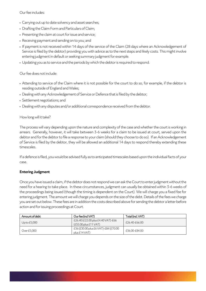#### Our fee includes:

- **•** Carrying out up to date solvency and asset searches;
- **•** Drafting the Claim Form and Particulars of Claim;
- **•** Presenting the claim at court for issue and service;
- **•** Receiving payment and sending on to you; and
- **•** If payment is not received within 14 days of the service of the Claim (28 days where an Acknowledgement of Service is filed by the debtor) providing you with advice as to the next steps and likely costs. This might involve entering judgment in default or seeking summary judgment for example.
- **•** Updating you as to service and the periods by which the debtor is required to respond.

Our fee does not include:

- **•** Attending to service of the Claim where it is not possible for the court to do so, for example, if the debtor is residing outside of England and Wales;
- **•** Dealing with any Acknowledgement of Service or Defence that is filed by the debtor;
- **•** Settlement negotiations; and
- **•** Dealing with any disputes and/or additional correspondence received from the debtor.

#### How long will it take?

The process will vary depending upon the nature and complexity of the case and whether the court is working in arrears. Generally, however, it will take between 3-6 weeks for a claim to be issued at court, served upon the debtor and for the debtor to file a response to your claim (should they choose to do so). If an Acknowledgement of Service is filed by the debtor, they will be allowed an additional 14 days to respond thereby extending these timescales.

If a defence is filed, you would be advised fully as to anticipated timescales based upon the individual facts of your case.

#### **Entering Judgment**

Once you have issued a claim, if the debtor does not respond we can ask the Court to enter judgment without the need for a hearing to take place. In these circumstances, judgment can usually be obtained within 3-6 weeks of the proceedings being issued (though the timing is dependent on the Court). We will charge you a fixed fee for entering judgment. The amount we will charge you depends on the size of the debt. Details of the fees we charge you are set out below. These fees are in addition the costs described above for sending the debtor a letter before action and for issuing proceedings at Court.

| Amount of debt | Our fee (ind VAT)                                             | Total (incl. VAT) |
|----------------|---------------------------------------------------------------|-------------------|
| Up to $£5,000$ | £26.40 (£22.00 plus £4.40 VAT)-£66<br>$(£55.00$ plus £11 VAT) | £26.40-£66.00     |
| Over £5,000    | £36 (£30.00 plus £6 VAT)-£84 (£70.00<br>plus £14 VAT)         | £36.00-£84.00     |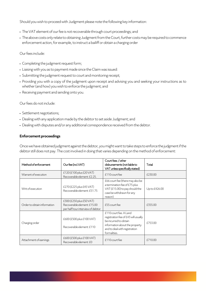Should you wish to proceed with Judgment please note the following key information:

- **•** The VAT element of our fee is not recoverable through court proceedings; and
- **•** The above costs only relate to obtaining Judgment from the Court, further costs may be required to commence enforcement action, for example, to instruct a bailiff or obtain a charging order

Our fees include:

- **•** Completing the judgment request form;
- **•** Liaising with you as to payment made since the Claim was issued:
- **•** Submitting the judgment request to court and monitoring receipt;
- **•** Providing you with a copy of the judgment upon receipt and advising you and seeking your instructions as to whether (and how) you wish to enforce the judgment; and
- **•** Receiving payment and sending onto you.

Our fees do not include:

- **•** Settlement negotiations;
- **•** Dealing with any application made by the debtor to set aside Judgment; and
- **•** Dealing with disputes and/or any additional correspondence received from the debtor.

#### **Enforcement proceedings**

Once we have obtained judgment against the debtor, you might want to take steps to enforce the judgment if the debtor still does not pay. The cost involved in doing that varies depending on the method of enforcement:

| Method of enforcement       | Our fee (incl.VAT)                                                                             | Court fees / other<br>disbursements (not liable to<br>VAT unless specifically stated)                                                                                      | Total         |
|-----------------------------|------------------------------------------------------------------------------------------------|----------------------------------------------------------------------------------------------------------------------------------------------------------------------------|---------------|
| Warrant of execution        | £120 (£100 plus £20 VAT)<br>Recoverable element: £2.25.                                        | £110 court fee                                                                                                                                                             | £230.00       |
| Writ of execution           | £270 (£225 plus £45 VAT)<br>Recoverable element: £51.75                                        | £66 court fee (there may also be<br>a termination fee of £75 plus<br>VAT (£15.00) to pay should the<br>case be withdrawn for any<br>reason)                                | Up to £426.00 |
| Order to obtain information | $£300(E250$ plus $£50VAT)$<br>Recoverable element: £15.00<br>per half hour interview of debtor | £55 court fee                                                                                                                                                              | £355.00       |
| Charging order              | £600 (£500 plus £100 VAT)<br>Recoverable element: £110                                         | £110 court fee. A Land<br>registration fee of £43 will usually<br>be incurred to obtain<br>information about the property<br>and to deal with registration<br>formalities. | £753.00       |
| Attachment of earnings      | £600 (£500 plus £100 VAT)<br>Recoverable element: £0                                           | £110 court fee                                                                                                                                                             | £710.00       |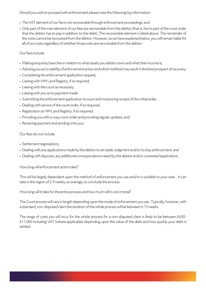Should you wish to proceed with enforcement please note the following key information:

- **•** The VAT element of our fee is not recoverable through enforcement proceedings; and
- **•** Only part of the main element of our fees are recoverable from the debtor (that is, forms part of the court order that the debtor has to pay in addition to the debt). The recoverable element is listed above. The remainder of the costs cannot be recovered from the debtor. However, as we have explained below, you will remain liable for all of our costs regardless of whether those costs are recoverable from the debtor.

Our fees include:

- **•** Making enquiries/searches in relation to what assets you debtor owns and what their income is;
- **•** Advising you as to viability of enforcement action and which method may result in the best prospect of recovery;
- **•** Completing the enforcement application request;
- **•** Liaising with HM Land Registry, if so required;
- **•** Liaising with the court as necessary;
- **•** Liaising with you as to payment made:
- **•** Submitting the enforcement application to court and monitoring receipt of the initial order;
- **•** Dealing with service of the court order, if so required;
- **•** Registration at HM Land Registry, if so required;
- **•** Providing you with a copy court order and providing regular updates; and
- **•** Receiving payment and sending onto you;

Our fees do not include:

- **•** Settlement negotiations;
- **•** Dealing with any applications made by the debtor to set aside Judgment and/or to stay enforcement; and
- **•** Dealing with disputes, any additional correspondence raised by the debtor and/or contested applications.

How long will enforcement action take?

This will be largely dependent upon the method of enforcement you use and/or is suitable to your case. It can take in the region of 2-9 weeks, on average, to conclude the process.

How long will it take for the entire process and how much will it cost in total?

The Court process will vary in length depending upon the mode of enforcement you use. Typically, however, with a standard, non-disputed claim the duration of the whole process will be between 6-15 weeks.

The range of costs you will incur for the whole process for a non-disputed claim is likely to be between £650- £11,000 including VAT (where applicable) depending upon the value of the debt and how quickly your debt is settled.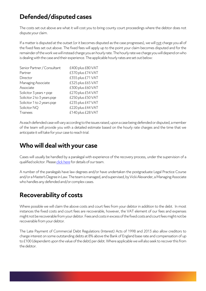# **Defended/disputed cases**

The costs set out above are what it will cost you to bring county court proceedings where the debtor does not dispute your claim.

If a matter is disputed at the outset (or it becomes disputed as the case progresses), we will not charge you all of the fixed fees set out above. The fixed fees will apply up to the point your claim becomes disputed and for the remainder of the work we will instead charge you an hourly rate. The hourly rate we charge you will depend on who is dealing with the case and their experience. The applicable hourly rates are set out below:

| Senior Partner / Consultant | £400 plus £80 VAT |
|-----------------------------|-------------------|
| Partner                     | £370 plus £74 VAT |
| Director                    | £355 plus £71 VAT |
| Managing Associate          | £325 plus £65 VAT |
| Associate                   | £300 plus £60 VAT |
| Solicitor 3 years + pqe     | £270 plus £54 VAT |
| Solicitor 2 to 3 years pge  | £250 plus £50 VAT |
| Solicitor 1 to 2 years pge  | £235 plus £47 VAT |
| Solicitor NQ                | £220 plus £44 VAT |
| <b>Trainees</b>             | £140 plus £28 VAT |

As each defended case will vary according to the issues raised, upon a case being defended or disputed, a member of the team will provide you with a detailed estimate based on the hourly rate charges and the time that we anticipate it will take for your case to reach trial.

## **Who will deal with your case**

Cases will usually be handled by a paralegal with experience of the recovery process, under the supervision of a qualified solicitor. Please click here for details of our team.

A number of the paralegals have law degrees and/or have undertaken the postgraduate Legal Practice Course and/or a Master's Degree in Law. The team is managed, and supervised, by Vicki Alexander, a Managing Associate who handles any defended and/or complex cases.

# **Recoverability of costs**

Where possible we will claim the above costs and court fees from your debtor in addition to the debt. In most instances the fixed costs and court fees are recoverable, however, the VAT element of our fees and expenses might not be recoverable from your debtor. Fees and costs in excess of the fixed costs and court fees might not be recoverable from your debtor.

The Late Payment of Commercial Debt Regulations (Interest) Acts of 1998 and 2013 also allow creditors to charge interest on some outstanding debts at 8% above the Bank of England base rate and compensation of up to £100 (dependent upon the value of the debt) per debt. Where applicable we will also seek to recover this from the debtor.